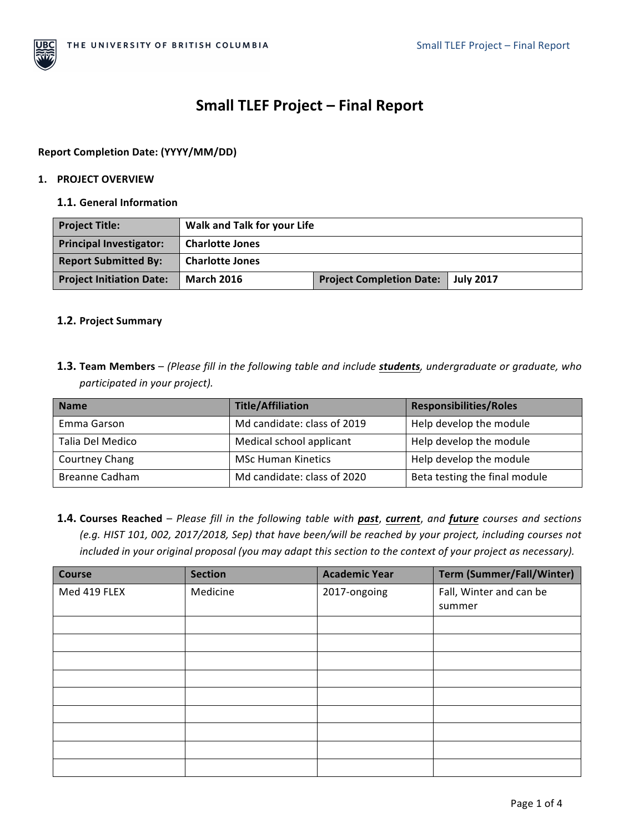

# **Small TLEF Project – Final Report**

# **Report Completion Date: (YYYY/MM/DD)**

## **1. PROJECT OVERVIEW**

#### **1.1.** General Information

| <b>Project Title:</b>           | Walk and Talk for your Life |                                 |                  |
|---------------------------------|-----------------------------|---------------------------------|------------------|
| <b>Principal Investigator:</b>  | <b>Charlotte Jones</b>      |                                 |                  |
| <b>Report Submitted By:</b>     | <b>Charlotte Jones</b>      |                                 |                  |
| <b>Project Initiation Date:</b> | <b>March 2016</b>           | <b>Project Completion Date:</b> | <b>July 2017</b> |

## **1.2. Project Summary**

**1.3. Team Members** – (Please fill in the following table and include **students**, undergraduate or graduate, who *participated in your project).* 

| <b>Name</b>           | <b>Title/Affiliation</b>    | <b>Responsibilities/Roles</b> |
|-----------------------|-----------------------------|-------------------------------|
| Emma Garson           | Md candidate: class of 2019 | Help develop the module       |
| Talia Del Medico      | Medical school applicant    | Help develop the module       |
| <b>Courtney Chang</b> | <b>MSc Human Kinetics</b>   | Help develop the module       |
| Breanne Cadham        | Md candidate: class of 2020 | Beta testing the final module |

1.4. Courses Reached - Please fill in the following table with past, current, and future courses and sections *(e.g. HIST 101, 002, 2017/2018, Sep)* that have been/will be reached by your project, including courses not *included in your original proposal (you may adapt this section to the context of your project as necessary).* 

| Course       | <b>Section</b> | <b>Academic Year</b> | <b>Term (Summer/Fall/Winter)</b> |
|--------------|----------------|----------------------|----------------------------------|
| Med 419 FLEX | Medicine       | 2017-ongoing         | Fall, Winter and can be          |
|              |                |                      | summer                           |
|              |                |                      |                                  |
|              |                |                      |                                  |
|              |                |                      |                                  |
|              |                |                      |                                  |
|              |                |                      |                                  |
|              |                |                      |                                  |
|              |                |                      |                                  |
|              |                |                      |                                  |
|              |                |                      |                                  |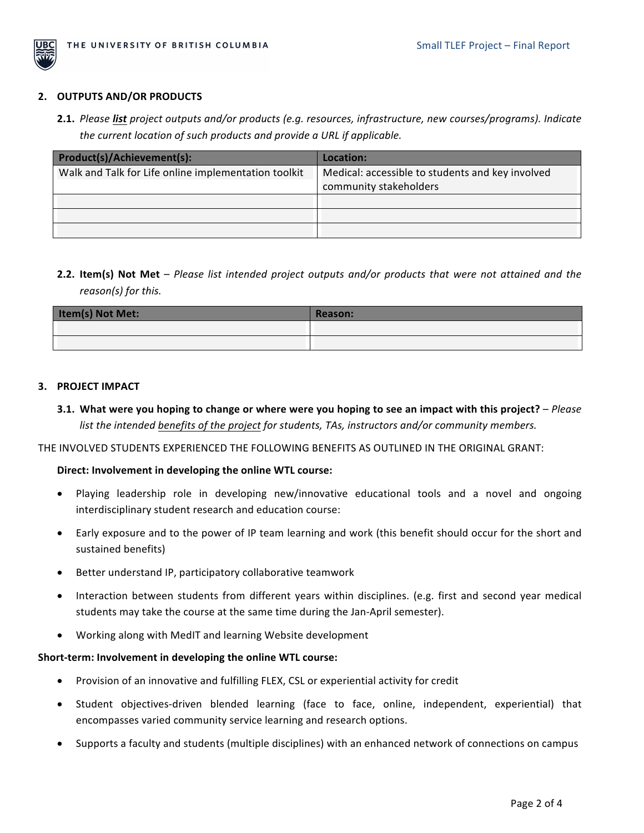

#### **2. OUTPUTS AND/OR PRODUCTS**

**2.1.** Please list project outputs and/or products (e.g. resources, infrastructure, new courses/programs). Indicate *the current location of such products and provide a URL if applicable.* 

| Product(s)/Achievement(s):                           | Location:                                        |
|------------------------------------------------------|--------------------------------------------------|
| Walk and Talk for Life online implementation toolkit | Medical: accessible to students and key involved |
|                                                      | community stakeholders                           |
|                                                      |                                                  |
|                                                      |                                                  |
|                                                      |                                                  |

**2.2. Item(s) Not Met** – *Please list intended project outputs and/or products that were not attained and the reason(s)* for this.

| Item(s) Not Met: | <b>Reason:</b> |
|------------------|----------------|
|                  |                |
|                  |                |

#### **3. PROJECT IMPACT**

**3.1.** What were you hoping to change or where were you hoping to see an impact with this project? – *Please list the intended benefits of the project for students, TAs, instructors and/or community members.* 

THE INVOLVED STUDENTS EXPERIENCED THE FOLLOWING BENEFITS AS OUTLINED IN THE ORIGINAL GRANT:

## Direct: Involvement in developing the online WTL course:

- Playing leadership role in developing new/innovative educational tools and a novel and ongoing interdisciplinary student research and education course:
- Early exposure and to the power of IP team learning and work (this benefit should occur for the short and sustained benefits)
- Better understand IP, participatory collaborative teamwork
- Interaction between students from different years within disciplines. (e.g. first and second year medical students may take the course at the same time during the Jan-April semester).
- Working along with MedIT and learning Website development

## Short-term: Involvement in developing the online WTL course:

- Provision of an innovative and fulfilling FLEX, CSL or experiential activity for credit
- Student objectives-driven blended learning (face to face, online, independent, experiential) that encompasses varied community service learning and research options.
- Supports a faculty and students (multiple disciplines) with an enhanced network of connections on campus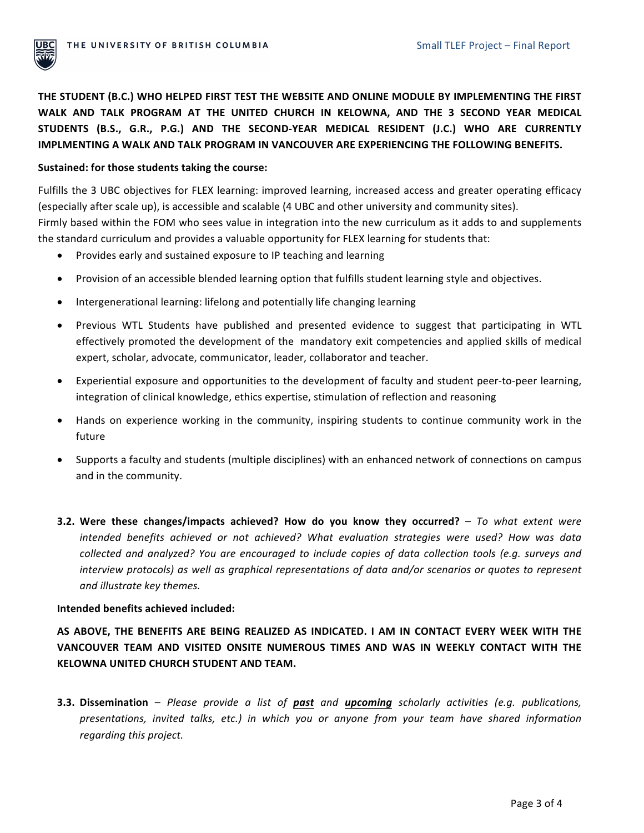

THE STUDENT (B.C.) WHO HELPED FIRST TEST THE WEBSITE AND ONLINE MODULE BY IMPLEMENTING THE FIRST WALK AND TALK PROGRAM AT THE UNITED CHURCH IN KELOWNA, AND THE 3 SECOND YEAR MEDICAL **STUDENTS (B.S., G.R., P.G.) AND THE SECOND-YEAR MEDICAL RESIDENT (J.C.) WHO ARE CURRENTLY IMPLMENTING A WALK AND TALK PROGRAM IN VANCOUVER ARE EXPERIENCING THE FOLLOWING BENEFITS.** 

#### Sustained: for those students taking the course:

Fulfills the 3 UBC objectives for FLEX learning: improved learning, increased access and greater operating efficacy (especially after scale up), is accessible and scalable (4 UBC and other university and community sites). Firmly based within the FOM who sees value in integration into the new curriculum as it adds to and supplements the standard curriculum and provides a valuable opportunity for FLEX learning for students that:

- Provides early and sustained exposure to IP teaching and learning
- Provision of an accessible blended learning option that fulfills student learning style and objectives.
- Intergenerational learning: lifelong and potentially life changing learning
- Previous WTL Students have published and presented evidence to suggest that participating in WTL effectively promoted the development of the mandatory exit competencies and applied skills of medical expert, scholar, advocate, communicator, leader, collaborator and teacher.
- Experiential exposure and opportunities to the development of faculty and student peer-to-peer learning, integration of clinical knowledge, ethics expertise, stimulation of reflection and reasoning
- Hands on experience working in the community, inspiring students to continue community work in the future
- Supports a faculty and students (multiple disciplines) with an enhanced network of connections on campus and in the community.
- **3.2.** Were these changes/impacts achieved? How do you know they occurred? *To what extent were intended benefits achieved* or *not achieved?* What evaluation strategies were used? How was data *collected and analyzed? You are encouraged to include copies of data collection tools (e.g. surveys and interview protocols)* as well as graphical representations of data and/or scenarios or quotes to represent *and illustrate key themes.*

## **Intended benefits achieved included:**

AS ABOVE, THE BENEFITS ARE BEING REALIZED AS INDICATED. I AM IN CONTACT EVERY WEEK WITH THE VANCOUVER TEAM AND VISITED ONSITE NUMEROUS TIMES AND WAS IN WEEKLY CONTACT WITH THE **KELOWNA UNITED CHURCH STUDENT AND TEAM.** 

**3.3. Dissemination** – *Please provide a list of past and upcoming scholarly activities (e.g. publications, presentations, invited talks, etc.) in which you or anyone from your team have shared information regarding this project.*